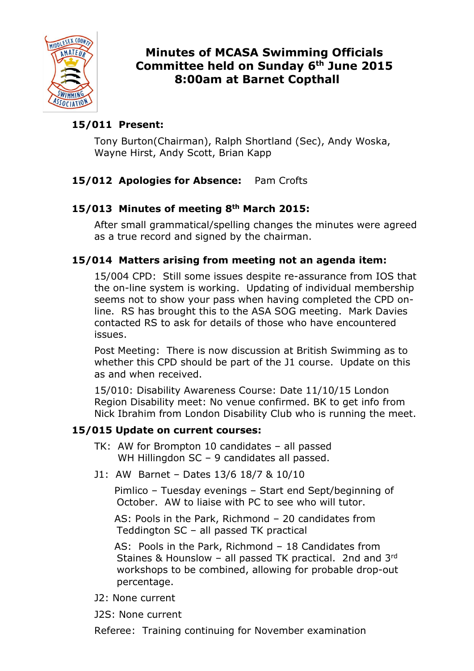

# Minutes of MCASA Swimming Officials Committee held on Sunday 6th June 2015 8:00am at Barnet Copthall

# 15/011 Present:

Tony Burton(Chairman), Ralph Shortland (Sec), Andy Woska, Wayne Hirst, Andy Scott, Brian Kapp

# 15/012 Apologies for Absence: Pam Crofts

# 15/013 Minutes of meeting 8th March 2015:

After small grammatical/spelling changes the minutes were agreed as a true record and signed by the chairman.

# 15/014 Matters arising from meeting not an agenda item:

15/004 CPD: Still some issues despite re-assurance from IOS that the on-line system is working. Updating of individual membership seems not to show your pass when having completed the CPD online. RS has brought this to the ASA SOG meeting. Mark Davies contacted RS to ask for details of those who have encountered issues.

Post Meeting: There is now discussion at British Swimming as to whether this CPD should be part of the J1 course. Update on this as and when received.

 15/010: Disability Awareness Course: Date 11/10/15 London Region Disability meet: No venue confirmed. BK to get info from Nick Ibrahim from London Disability Club who is running the meet.

# 15/015 Update on current courses:

- TK: AW for Brompton 10 candidates all passed WH Hillingdon SC - 9 candidates all passed.
- J1: AW Barnet Dates 13/6 18/7 & 10/10

 Pimlico – Tuesday evenings – Start end Sept/beginning of October. AW to liaise with PC to see who will tutor.

 AS: Pools in the Park, Richmond – 20 candidates from Teddington SC – all passed TK practical

 AS: Pools in the Park, Richmond – 18 Candidates from Staines & Hounslow – all passed TK practical. 2nd and 3rd workshops to be combined, allowing for probable drop-out percentage.

- J2: None current
- J2S: None current

Referee: Training continuing for November examination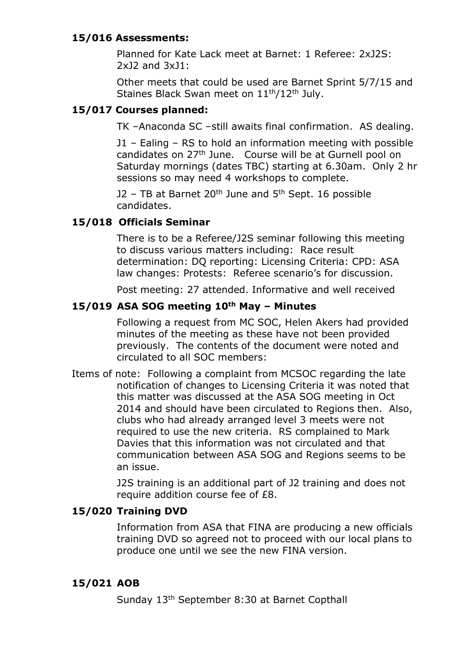### 15/016 Assessments:

Planned for Kate Lack meet at Barnet: 1 Referee: 2xJ2S: 2xJ2 and 3xJ1:

 Other meets that could be used are Barnet Sprint 5/7/15 and Staines Black Swan meet on 11<sup>th</sup>/12<sup>th</sup> July.

### 15/017 Courses planned:

TK –Anaconda SC –still awaits final confirmation. AS dealing.

 J1 – Ealing – RS to hold an information meeting with possible candidates on 27th June. Course will be at Gurnell pool on Saturday mornings (dates TBC) starting at 6.30am. Only 2 hr sessions so may need 4 workshops to complete.

J2 – TB at Barnet  $20<sup>th</sup>$  June and  $5<sup>th</sup>$  Sept. 16 possible candidates.

# 15/018 Officials Seminar

There is to be a Referee/J2S seminar following this meeting to discuss various matters including: Race result determination: DQ reporting: Licensing Criteria: CPD: ASA law changes: Protests: Referee scenario's for discussion.

Post meeting: 27 attended. Informative and well received

#### 15/019 ASA SOG meeting  $10<sup>th</sup>$  May - Minutes

Following a request from MC SOC, Helen Akers had provided minutes of the meeting as these have not been provided previously. The contents of the document were noted and circulated to all SOC members:

Items of note: Following a complaint from MCSOC regarding the late notification of changes to Licensing Criteria it was noted that this matter was discussed at the ASA SOG meeting in Oct 2014 and should have been circulated to Regions then. Also, clubs who had already arranged level 3 meets were not required to use the new criteria. RS complained to Mark Davies that this information was not circulated and that communication between ASA SOG and Regions seems to be an issue.

> J2S training is an additional part of J2 training and does not require addition course fee of £8.

# 15/020 Training DVD

Information from ASA that FINA are producing a new officials training DVD so agreed not to proceed with our local plans to produce one until we see the new FINA version.

#### 15/021 AOB

Sunday 13th September 8:30 at Barnet Copthall